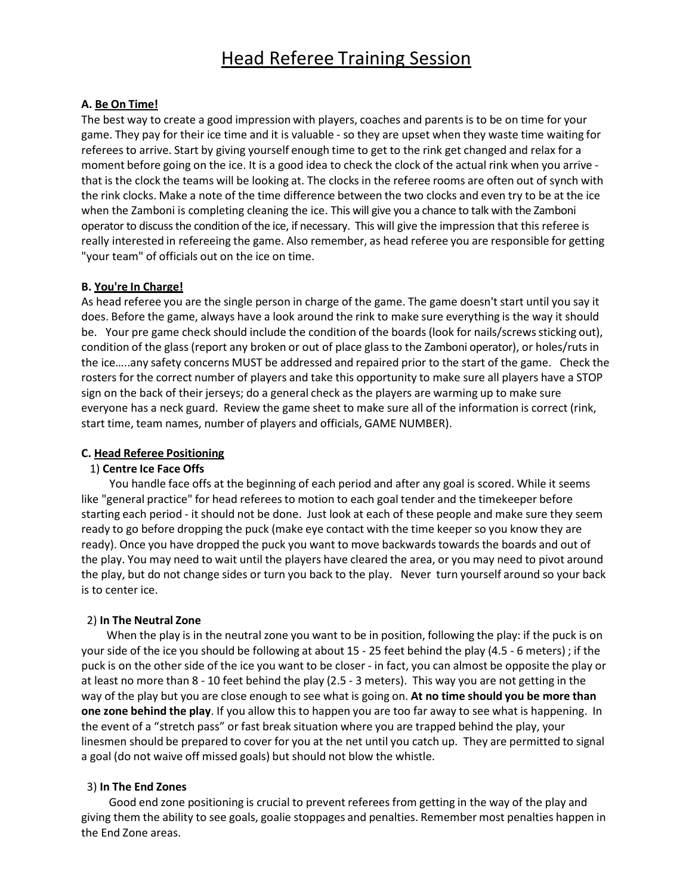## **A. Be On Time!**

The best way to create a good impression with players, coaches and parents is to be on time for your game. They pay for their ice time and it is valuable ‐ so they are upset when they waste time waiting for referees to arrive. Start by giving yourself enough time to get to the rink get changed and relax for a moment before going on the ice. It is a good idea to check the clock of the actual rink when you arrive ‐ that is the clock the teams will be looking at. The clocks in the referee rooms are often out of synch with the rink clocks. Make a note of the time difference between the two clocks and even try to be at the ice when the Zamboni is completing cleaning the ice. This will give you a chance to talk with the Zamboni operator to discuss the condition of the ice, if necessary. This will give the impression that this referee is really interested in refereeing the game. Also remember, as head referee you are responsible for getting "your team" of officials out on the ice on time.

#### **B. You're In Charge!**

As head referee you are the single person in charge of the game. The game doesn't start until you say it does. Before the game, always have a look around the rink to make sure everything is the way it should be. Your pre game check should include the condition of the boards (look for nails/screws sticking out), condition of the glass (report any broken or out of place glass to the Zamboni operator), or holes/ruts in the ice…..any safety concerns MUST be addressed and repaired prior to the start of the game. Check the rosters for the correct number of players and take this opportunity to make sure all players have a STOP sign on the back of their jerseys; do a general check as the players are warming up to make sure everyone has a neck guard. Review the game sheet to make sure all of the information is correct (rink, start time, team names, number of players and officials, GAME NUMBER).

### **C. Head Referee Positioning**

#### 1) **Centre Ice Face Offs**

You handle face offs at the beginning of each period and after any goal is scored. While it seems like "general practice" for head referees to motion to each goal tender and the timekeeper before starting each period ‐ it should not be done. Just look at each of these people and make sure they seem ready to go before dropping the puck (make eye contact with the time keeperso you know they are ready). Once you have dropped the puck you want to move backwards towards the boards and out of the play. You may need to wait until the players have cleared the area, or you may need to pivot around the play, but do not change sides or turn you back to the play. Never turn yourself around so your back is to center ice.

#### 2) **In The Neutral Zone**

When the play is in the neutral zone you want to be in position, following the play: if the puck is on your side of the ice you should be following at about 15 ‐ 25 feet behind the play (4.5 ‐ 6 meters) ; if the puck is on the other side of the ice you want to be closer ‐ in fact, you can almost be opposite the play or at least no more than 8 ‐ 10 feet behind the play (2.5 ‐ 3 meters). This way you are not getting in the way of the play but you are close enough to see what is going on. **At no time should you be more than one zone behind the play**. If you allow this to happen you are too far away to see what is happening. In the event of a "stretch pass" or fast break situation where you are trapped behind the play, your linesmen should be prepared to cover for you at the net until you catch up. They are permitted to signal a goal (do not waive off missed goals) but should not blow the whistle.

#### 3) **In The End Zones**

Good end zone positioning is crucial to prevent referees from getting in the way of the play and giving them the ability to see goals, goalie stoppages and penalties. Remember most penalties happen in the End Zone areas.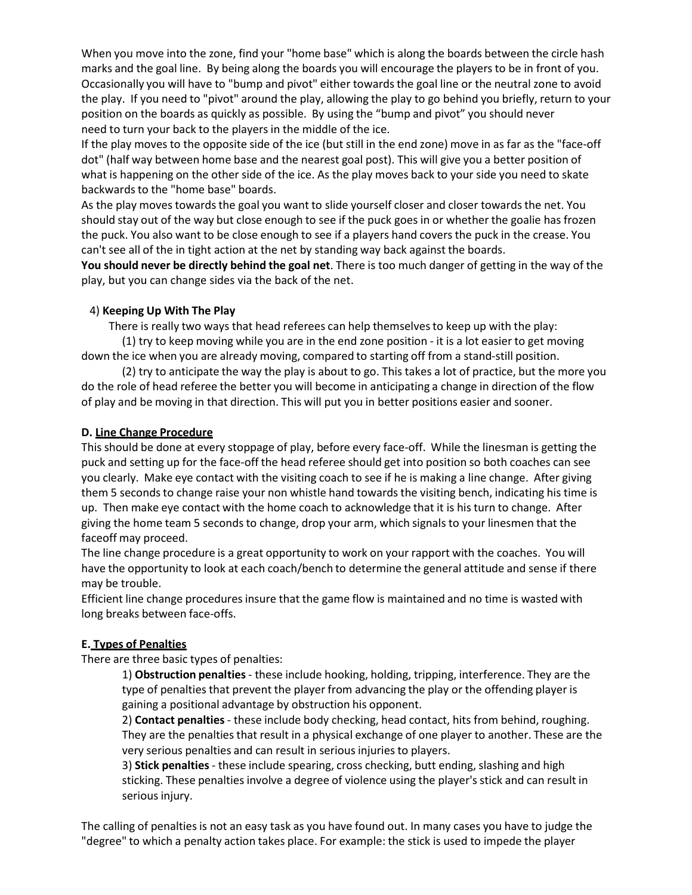When you move into the zone, find your "home base" which is along the boards between the circle hash marks and the goal line. By being along the boards you will encourage the players to be in front of you. Occasionally you will have to "bump and pivot" either towards the goal line or the neutral zone to avoid the play. If you need to "pivot" around the play, allowing the play to go behind you briefly, return to your position on the boards as quickly as possible. By using the "bump and pivot" you should never need to turn your back to the players in the middle of the ice.

If the play moves to the opposite side of the ice (but still in the end zone) move in as far as the "face‐off dot" (half way between home base and the nearest goal post). This will give you a better position of what is happening on the other side of the ice. As the play moves back to your side you need to skate backwards to the "home base" boards.

As the play moves towards the goal you want to slide yourself closer and closer towards the net. You should stay out of the way but close enough to see if the puck goes in or whether the goalie has frozen the puck. You also want to be close enough to see if a players hand covers the puck in the crease. You can't see all of the in tight action at the net by standing way back against the boards.

**You should never be directly behind the goal net**. There is too much danger of getting in the way of the play, but you can change sides via the back of the net.

## 4) **Keeping Up With The Play**

There is really two ways that head referees can help themselvesto keep up with the play:

(1) try to keep moving while you are in the end zone position ‐ it is a lot easier to get moving down the ice when you are already moving, compared to starting off from a stand‐still position.

(2) try to anticipate the way the play is about to go. This takes a lot of practice, but the more you do the role of head referee the better you will become in anticipating a change in direction of the flow of play and be moving in that direction. This will put you in better positions easier and sooner.

#### **D. Line Change Procedure**

This should be done at every stoppage of play, before every face‐off. While the linesman is getting the puck and setting up for the face‐off the head referee should get into position so both coaches can see you clearly. Make eye contact with the visiting coach to see if he is making a line change. After giving them 5 seconds to change raise your non whistle hand towards the visiting bench, indicating his time is up. Then make eye contact with the home coach to acknowledge that it is his turn to change. After giving the home team 5 seconds to change, drop your arm, which signals to your linesmen that the faceoff may proceed.

The line change procedure is a great opportunity to work on your rapport with the coaches. You will have the opportunity to look at each coach/bench to determine the general attitude and sense if there may be trouble.

Efficient line change procedures insure that the game flow is maintained and no time is wasted with long breaks between face-offs.

# **E. Types of Penalties**

There are three basic types of penalties:

1) **Obstruction penalties**‐ these include hooking, holding, tripping, interference. They are the type of penalties that prevent the player from advancing the play or the offending player is gaining a positional advantage by obstruction his opponent.

2) **Contact penalties**‐ these include body checking, head contact, hits from behind, roughing. They are the penalties that result in a physical exchange of one player to another. These are the very serious penalties and can result in serious injuriesto players.

3) Stick penalties - these include spearing, cross checking, butt ending, slashing and high sticking. These penalties involve a degree of violence using the player's stick and can result in serious injury.

The calling of penalties is not an easy task as you have found out. In many cases you have to judge the "degree" to which a penalty action takes place. For example: the stick is used to impede the player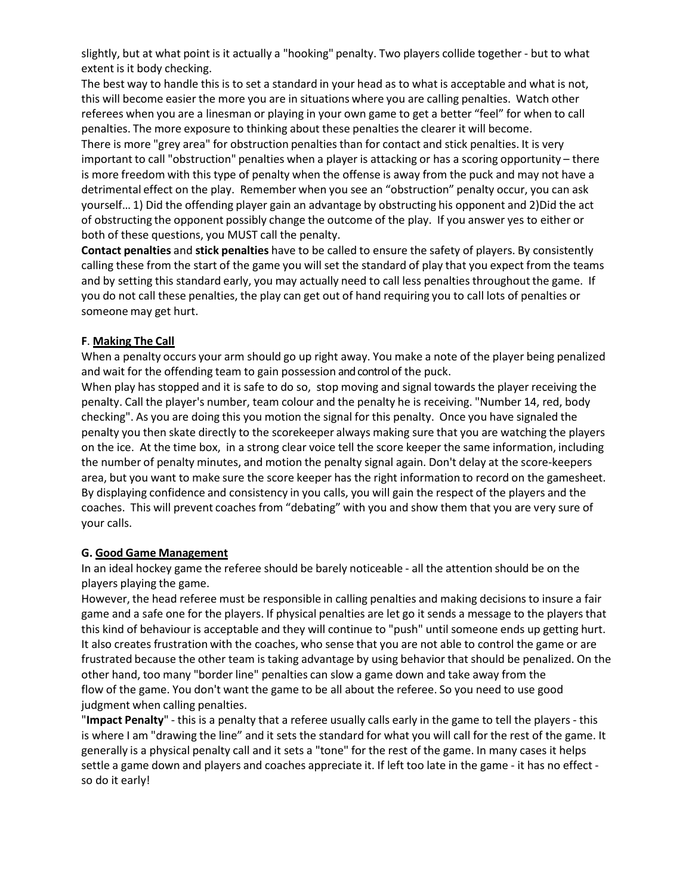slightly, but at what point is it actually a "hooking" penalty. Two players collide together ‐ but to what extent is it body checking.

The best way to handle this is to set a standard in your head as to what is acceptable and what is not, this will become easier the more you are in situations where you are calling penalties. Watch other referees when you are a linesman or playing in your own game to get a better "feel" for when to call penalties. The more exposure to thinking about these penalties the clearer it will become. There is more "grey area" for obstruction penalties than for contact and stick penalties. It is very important to call "obstruction" penalties when a player is attacking or has a scoring opportunity – there is more freedom with this type of penalty when the offense is away from the puck and may not have a detrimental effect on the play. Remember when you see an "obstruction" penalty occur, you can ask yourself… 1) Did the offending player gain an advantage by obstructing his opponent and 2)Did the act of obstructing the opponent possibly change the outcome of the play. If you answer yes to either or both of these questions, you MUST call the penalty.

**Contact penalties** and **stick penalties** have to be called to ensure the safety of players. By consistently calling these from the start of the game you will set the standard of play that you expect from the teams and by setting this standard early, you may actually need to call less penalties throughout the game. If you do not call these penalties, the play can get out of hand requiring you to call lots of penalties or someone may get hurt.

# **F**. **Making The Call**

When a penalty occurs your arm should go up right away. You make a note of the player being penalized and wait for the offending team to gain possession and control of the puck.

When play has stopped and it is safe to do so, stop moving and signal towards the player receiving the penalty. Call the player's number, team colour and the penalty he is receiving. "Number 14, red, body checking". As you are doing this you motion the signal for this penalty. Once you have signaled the penalty you then skate directly to the scorekeeper always making sure that you are watching the players on the ice. At the time box, in a strong clear voice tell the score keeper the same information, including the number of penalty minutes, and motion the penalty signal again. Don't delay at the score-keepers area, but you want to make sure the score keeper has the right information to record on the gamesheet. By displaying confidence and consistency in you calls, you will gain the respect of the players and the coaches. This will prevent coaches from "debating" with you and show them that you are very sure of your calls.

#### **G. Good Game Management**

In an ideal hockey game the referee should be barely noticeable ‐ all the attention should be on the players playing the game.

However, the head referee must be responsible in calling penalties and making decisionsto insure a fair game and a safe one for the players. If physical penalties are let go it sends a message to the players that this kind of behaviour is acceptable and they will continue to "push" until someone ends up getting hurt. It also creates frustration with the coaches, who sense that you are not able to control the game or are frustrated because the other team is taking advantage by using behavior that should be penalized. On the other hand, too many "border line" penalties can slow a game down and take away from the flow of the game. You don't want the game to be all about the referee. So you need to use good judgment when calling penalties.

"**Impact Penalty**" ‐ this is a penalty that a referee usually calls early in the game to tell the players ‐ this is where I am "drawing the line" and it sets the standard for what you will call for the rest of the game. It generally is a physical penalty call and it sets a "tone" for the rest of the game. In many cases it helps settle a game down and players and coaches appreciate it. If left too late in the game ‐ it has no effect ‐ so do it early!